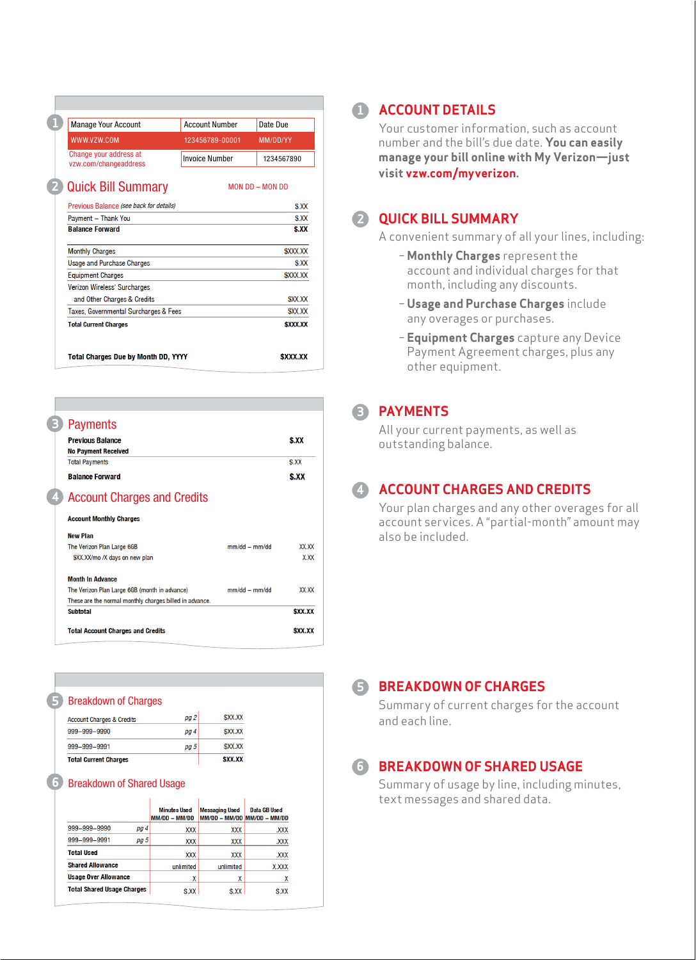| <b>Manage Your Account</b>                      | <b>Account Number</b> | Date Due            |
|-------------------------------------------------|-----------------------|---------------------|
| WWW.VZW.COM                                     | 123456789-00001       | MM/DD/YY            |
| Change your address at<br>vzw.com/changeaddress | <b>Invoice Number</b> | 1234567890          |
| <b>Quick Bill Summary</b>                       |                       | $MON$ DD $-$ MON DD |
| Previous Balance (see back for details)         |                       | \$XX                |
| Payment - Thank You                             |                       | \$XX                |
| <b>Balance Forward</b>                          |                       | \$.XX               |
| <b>Monthly Charges</b>                          |                       | <b>SXXX.XX</b>      |
| <b>Usage and Purchase Charges</b>               |                       | \$.XX               |
| <b>Equipment Charges</b>                        |                       | <b>SXXX.XX</b>      |
| Verizon Wireless' Surcharges                    |                       |                     |
| and Other Charges & Credits                     |                       | <b>SXX.XX</b>       |
| Taxes, Governmental Surcharges & Fees           |                       | <b>SXX.XX</b>       |
| <b>Total Current Charges</b>                    |                       | <b>SXXX.XX</b>      |
|                                                 |                       |                     |

#### **3** Payments

C

| <b>Balance Forward</b>     | \$.XX |
|----------------------------|-------|
| <b>Total Payments</b>      | \$.XX |
| <b>No Payment Received</b> |       |
| <b>Previous Balance</b>    | \$.XX |
| $\sqrt{2}$ rayuluus        |       |

#### **4** Account Charges and Credits

#### **Account Monthly Charges**

| <b>Total Account Charges and Credits</b>                |                 | <b>SXX.XX</b> |
|---------------------------------------------------------|-----------------|---------------|
| <b>Subtotal</b>                                         |                 | <b>SXX.XX</b> |
| These are the normal monthly charges billed in advance. |                 |               |
| The Verizon Plan Large 6GB (month in advance)           | $mm/dd - mm/dd$ | XX.XX         |
| <b>Month In Advance</b>                                 |                 |               |
| \$XX.XX/mo /X days on new plan                          |                 | X.XX          |
| The Verizon Plan Large 6GB                              | $mm/dd - mm/dd$ | XX XX         |
| <b>New Plan</b>                                         |                 |               |

#### **5** Breakdown of Charges

| <b>Total Current Charges</b>         |      | \$XX.X) |
|--------------------------------------|------|---------|
| 999–999–9991                         | pa 5 | \$XX.XX |
| 999-999-9990                         | pg 4 | \$XX.XX |
| <b>Account Charges &amp; Credits</b> | pg 2 | \$XX.XX |
|                                      |      |         |

 $\bar{a}$ 

#### **6** Breakdown of Shared Usage

|                                   |      | <b>Minutes Used</b><br>$MM/DD - MM/DD$ | <b>Messaging Used</b> | Data GB Used<br>MM/DD - MM/DD MM/DD - MM/DD |
|-----------------------------------|------|----------------------------------------|-----------------------|---------------------------------------------|
| 999-999-9990                      | pg 4 | XXX                                    | XXX                   | <b>XXX.</b>                                 |
| 999-999-9991                      | pg 5 | XXX                                    | <b>XXX</b>            | <b>XXX.</b>                                 |
| <b>Total Used</b>                 |      | <b>XXX</b>                             | <b>XXX</b>            | <b>XXX.</b>                                 |
| <b>Shared Allowance</b>           |      | unlimited                              | unlimited             | <b>X.XXX</b>                                |
| <b>Usage Over Allowance</b>       |      | χ                                      | x                     | x                                           |
| <b>Total Shared Usage Charges</b> |      | \$.XX                                  | \$.XX                 | \$.XX                                       |

# **1 ACCOUNT DETAILS**

 Your customer information, such as account number and the bill's due date. **You can easily manage your bill online with My Verizon—just visit vzw.com/myverizon.**

## **2 QUICK BILL SUMMARY**

A convenient summary of all your lines, including:

- **Monthly Charges** represent the account and individual charges for that month, including any discounts.
- **Usage and Purchase Charges** include any overages or purchases.
- **Equipment Charges** capture any Device Payment Agreement charges, plus any other equipment.

## **3 PAYMENTS**

 All your current payments, as well as outstanding balance.

# **4 ACCOUNT CHARGES AND CREDITS**

 Your plan charges and any other overages for all account services. A "partial-month" amount may also be included.

# **5 BREAKDOWN OF CHARGES**

 Summary of current charges for the account and each line.

## **6 BREAKDOWN OF SHARED USAGE**

 Summary of usage by line, including minutes, text messages and shared data.